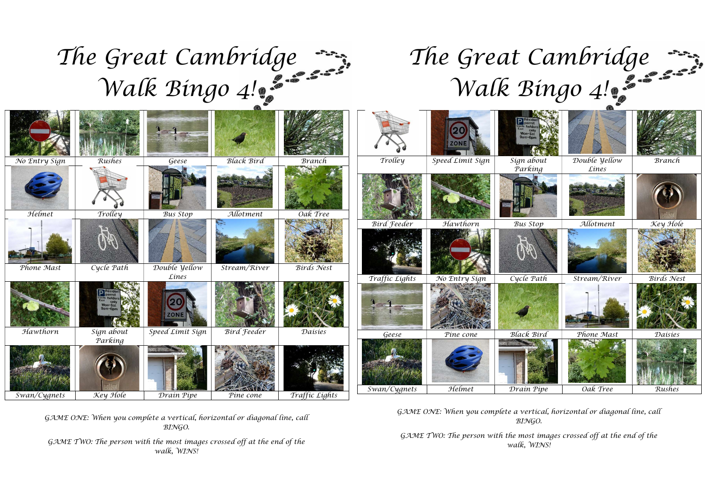## The Great Cambridge  $T<sub>k</sub>$ Walk Bingo 4!

## The Great Cambridge Walk Bingo 4!

|               |            |                      |                    |                   |                    | <b>ZONE</b>      |                   |               |                   |
|---------------|------------|----------------------|--------------------|-------------------|--------------------|------------------|-------------------|---------------|-------------------|
| No Entry Sign | Rushes     | Geese                | Black Bird         | <b>Branch</b>     | Trolley            | Speed Limit Sign | Sign about        | Double yellow | Branch            |
| Helmet        | Trolley    | Bus Stop             | Allotment          | Oak Tree          |                    |                  | Parking           | Lines         |                   |
|               |            |                      |                    |                   | <b>Bird Feeder</b> | Hawthorn         | Bus Stop          | Allotment     | Key Hole          |
| Phone Mast    | Cycle Path | Double <i>yellow</i> | Stream/River       | <b>Birds</b> Nest |                    |                  | W                 |               |                   |
|               |            | Lines                |                    |                   | Traffic Lights     | No Entry Sign    | Cycle Path        | Stream/River  | <b>Birds</b> Nest |
|               | Mon-Sat    | <b>ZONE</b>          |                    |                   |                    |                  |                   |               |                   |
| Hawthorn      | Sign about | Speed Limit Sign     | <b>Bird Feeder</b> | Daisies           | Geese              | Pine cone        | <b>Black Bird</b> | Phone Mast    | Daisies           |
|               | Parking    |                      |                    |                   | Swan/Cygnets       | Helmet           | Drain Pipe        | Oak Tree      | Rushes            |
| Swan/Cygnets  | Key Hole   | Drain Pipe           | Pine cone          | Traffic Lights    |                    |                  |                   |               |                   |

GAME ONE: When you complete a vertical, horizontal or diagonal line, call BINGO.

GAME TWO: The person with the most images crossed off at the end of the walk, WINS!

GAME ONE: When you complete a vertical, horizontal or diagonal line, call BINGO.

GAME TWO: The person with the most images crossed off at the end of the walk, WINS!